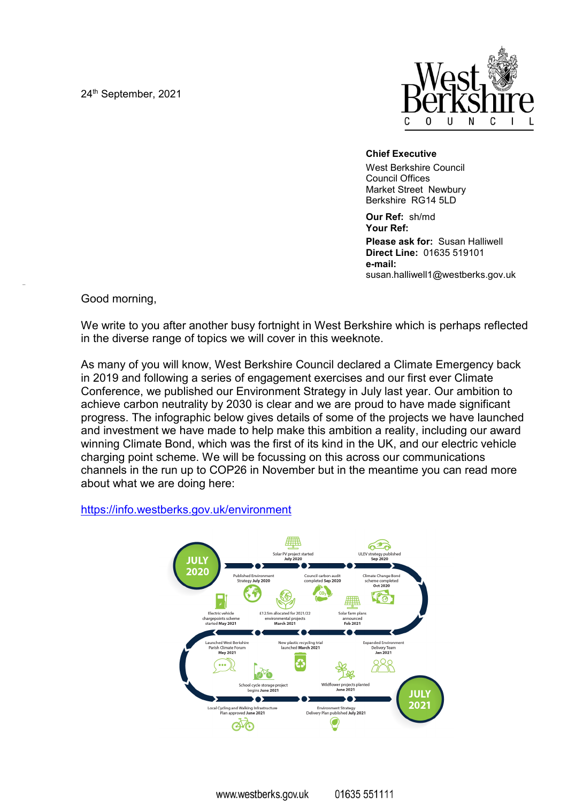24th September, 2021



## **Chief Executive**

West Berkshire Council Council Offices Market Street Newbury Berkshire RG14 5LD

**Our Ref:** sh/md **Your Ref:**

**Please ask for:** Susan Halliwell **Direct Line:** 01635 519101 **e-mail:** susan.halliwell1@westberks.gov.uk

Good morning,

We write to you after another busy fortnight in West Berkshire which is perhaps reflected in the diverse range of topics we will cover in this weeknote.

As many of you will know, West Berkshire Council declared a Climate Emergency back in 2019 and following a series of engagement exercises and our first ever Climate Conference, we published our Environment Strategy in July last year. Our ambition to achieve carbon neutrality by 2030 is clear and we are proud to have made significant progress. The infographic below gives details of some of the projects we have launched and investment we have made to help make this ambition a reality, including our award winning Climate Bond, which was the first of its kind in the UK, and our electric vehicle charging point scheme. We will be focussing on this across our communications channels in the run up to COP26 in November but in the meantime you can read more about what we are doing here:

## https://info.westberks.gov.uk/environment

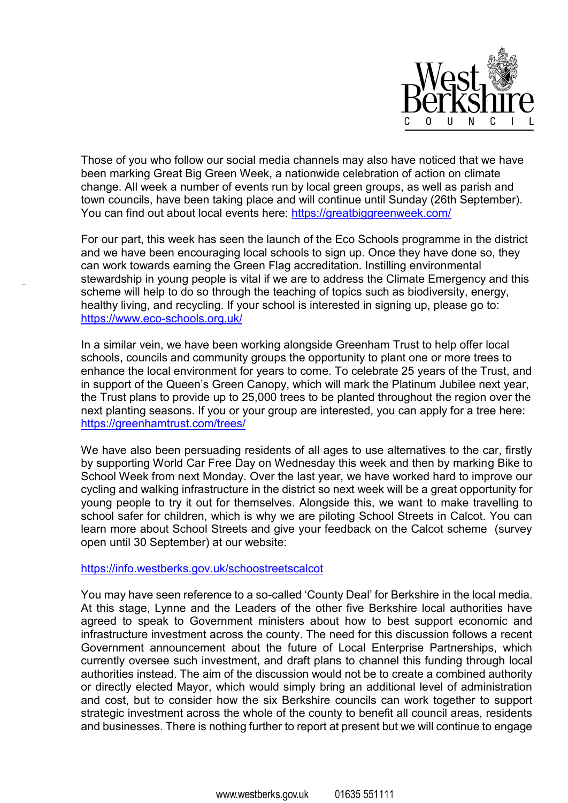

Those of you who follow our social media channels may also have noticed that we have been marking Great Big Green Week, a nationwide celebration of action on climate change. All week a number of events run by local green groups, as well as parish and town councils, have been taking place and will continue until Sunday (26th September). You can find out about local events here: https://greatbiggreenweek.com/

For our part, this week has seen the launch of the Eco Schools programme in the district and we have been encouraging local schools to sign up. Once they have done so, they can work towards earning the Green Flag accreditation. Instilling environmental stewardship in young people is vital if we are to address the Climate Emergency and this scheme will help to do so through the teaching of topics such as biodiversity, energy, healthy living, and recycling. If your school is interested in signing up, please go to: https://www.eco-schools.org.uk/

In a similar vein, we have been working alongside Greenham Trust to help offer local schools, councils and community groups the opportunity to plant one or more trees to enhance the local environment for years to come. To celebrate 25 years of the Trust, and in support of the Queen's Green Canopy, which will mark the Platinum Jubilee next year, the Trust plans to provide up to 25,000 trees to be planted throughout the region over the next planting seasons. If you or your group are interested, you can apply for a tree here: https://greenhamtrust.com/trees/

We have also been persuading residents of all ages to use alternatives to the car, firstly by supporting World Car Free Day on Wednesday this week and then by marking Bike to School Week from next Monday. Over the last year, we have worked hard to improve our cycling and walking infrastructure in the district so next week will be a great opportunity for young people to try it out for themselves. Alongside this, we want to make travelling to school safer for children, which is why we are piloting School Streets in Calcot. You can learn more about School Streets and give your feedback on the Calcot scheme (survey open until 30 September) at our website:

## https://info.westberks.gov.uk/schoostreetscalcot

You may have seen reference to a so-called 'County Deal' for Berkshire in the local media. At this stage, Lynne and the Leaders of the other five Berkshire local authorities have agreed to speak to Government ministers about how to best support economic and infrastructure investment across the county. The need for this discussion follows a recent Government announcement about the future of Local Enterprise Partnerships, which currently oversee such investment, and draft plans to channel this funding through local authorities instead. The aim of the discussion would not be to create a combined authority or directly elected Mayor, which would simply bring an additional level of administration and cost, but to consider how the six Berkshire councils can work together to support strategic investment across the whole of the county to benefit all council areas, residents and businesses. There is nothing further to report at present but we will continue to engage